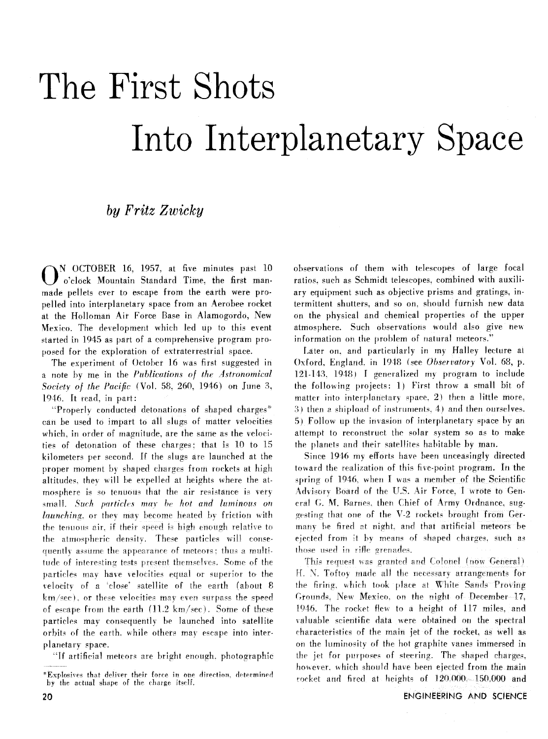## The First Shots Into Interplanetary Space

## bu Fritz Zwicku

N OCTOBER 16, 1957, at five minutes past 10 o'clock Mountain Standard Time, the first manmade pellets ever to escape from the earth were propelled into interplanetary space from an Aerobee rocket at the Holloman Air Force Base in Alamogordo, New Mexico. The development which led up to this event started in 1945 as part of a comprehensive program proposed for the exploration of extraterrestrial space.

The experiment of October 16 was first suggested in a note by me in the *Publications* of the Astronomical Society of the Pacific (Vol. 58, 260, 1946) on June 3, 1946. It read, in part:

"Properly conducted detonations of shaped charges" can be used to impart to all slugs of matter velocities which, in order of magnitude, are the same as the velocities of detonation of these charges; that is 10 to 15 kilometers per second. If the slugs are launched at the proper moment by shaped charges from rockets at high altitudes, they will be expelled at heights where the atmosphere is so tenuous that the air resistance is very small. Such particles may be hot and luminous on *launching*, or they may become heated by friction with the tenuous air, if their speed is high enough relative to the atmospheric density. These particles will consequently assume the appearance of meteors; thus a multitude of interesting tests present themselves. Some of the particles may have velocities equal or superior to the velocity of a 'close' satellite of the earth (about 8  $km/sec$ ), or these velocities may even surpass the speed of escape from the earth  $(11.2 \text{ km/sec})$ . Some of these particles may consequently be launched into satellite orbits of the earth, while others may escape into interplanetary space.

"If artificial meteors are bright enough, photographic

observations of them with telescopes of large focal ratios, such as Schmidt telescopes, combined with auxiliary equipment such as objective prisms and gratings, intermittent shutters, and so on, should furnish new data on the physical and chemical properties of the upper atmosphere. Such öbservations would also give new information on the problem of natural meteors."

Later on, and particularly in my Halley lecture at Oxford, England, in 1948 (see Observatory Vol. 68, p. 121-143, 1948) I generalized my program to include the following projects: 1) First throw a small bit of matter into interplanetary space, 2) then a little more, 3) then a shipload of instruments, 4) and then ourselves. 5) Follow up the invasion of interplanetary space by an attempt to reconstruct the solar system so as to make the planets and their satellites habitable by man.

Since 1946 my efforts have been unceasingly directed toward the realization of this five-point program. In the spring of 1946, when I was a member of the Scientific Advisory Board of the U.S. Air Force, I wrote to General G. M. Barnes, then Chief of Army Ordnance, suggesting that one of the V-2 rockets brought from Germany be fired at night, and that artificial meteors be ejected from it by means of shaped charges, such as those used in rifle grenades.

This request was granted and Colonel (now General) H. N. Toftoy made all the necessary arrangements for the firing, which took place at White Sands Proving Grounds. New Mexico, on the night of December 17, 1946. The rocket flew to a height of 117 miles, and valuable scientific data were obtained on the spectral characteristics of the main jet of the rocket, as well as on the luminosity of the hot graphite vanes immersed in the jet for purposes of steering. The shaped charges, however, which should have been ejected from the main rocket and fired at heights of 120,000, 150,000 and

<sup>\*</sup>Explosives that deliver their force in one direction, determined by the actual shape of the charge itself.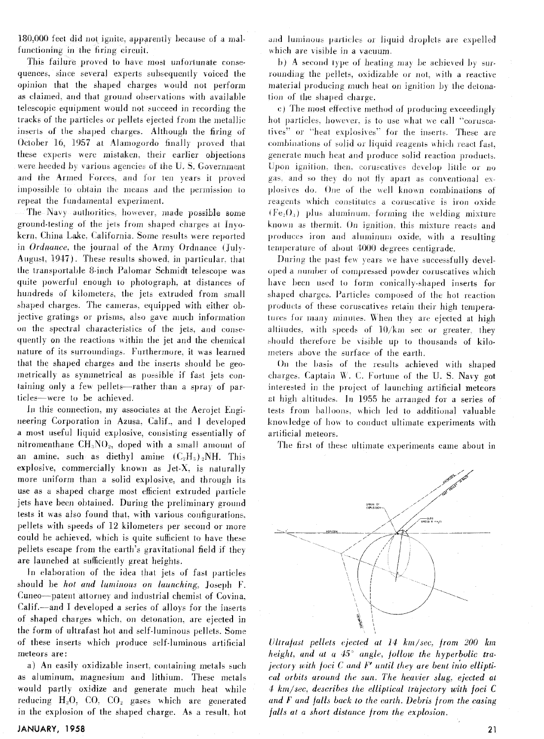180,000 feet did not ignite, apparently because of a malfunctioning in the firing circuit.

This failure proved to have most unfortunate consequences, since several experts subsequently voiced the opinion that the shaped charges would not perform as claimed, and that ground observations with available telescopic equipment would not succeed in recording the tracks of the particles or pellets ejected from the metallic inserts of the shaped charges. Although the firing of October 16, 1957 at Alamogordo finally proved that these experts were mistaken, their earlier objections were heeded by various agencies of the U.S. Government and the Armed Forces, and for ten years it proved impossible to obtain the means and the permission to repeat the fundamental experiment.

The Navy authorities, however, made possible some ground-testing of the jets from shaped charges at Invokern, China Lake, California. Some results were reported in *Ordnance*, the journal of the Army Ordnance (July-August, 1947). These results showed, in particular, that the transportable 8-inch Palomar Schmidt telescope was quite powerful enough to photograph, at distances of hundreds of kilometers, the jets extruded from small shaped charges. The cameras, equipped with either objective gratings or prisms, also gave much information on the spectral characteristics of the jets, and consequently on the reactions within the jet and the chemical nature of its surroundings. Furthermore, it was learned that the shaped charges and the inserts should be geometrically as symmetrical as possible if fast jets containing only a few pellets-rather than a spray of particles-were to be achieved.

In this connection, my associates at the Aerojet Engineering Corporation in Azusa, Calif., and I developed a most useful liquid explosive, consisting essentially of nitromenthane CH<sub>3</sub>NO<sub>2</sub>, doped with a small amount of an amine, such as diethyl amine  $(C_2H_5)_2NH$ . This explosive, commercially known as Jet-X, is naturally more uniform than a solid explosive, and through its use as a shaped charge most efficient extruded particle jets have been obtained. During the preliminary ground tests it was also found that, with various configurations, pellets with speeds of 12 kilometers per second or more could be achieved, which is quite sufficient to have these pellets escape from the earth's gravitational field if they are launched at sufficiently great heights.

In elaboration of the idea that jets of fast particles should be hot and luminous on launching, Joseph F. Cuneo-patent attorney and industrial chemist of Covina, Calif.—and I developed a series of alloys for the inserts of shaped charges which, on detonation, are ejected in the form of ultrafast hot and self-luminous pellets. Some of these inserts which produce self-luminous artificial meteors are:

a) An easily oxidizable insert, containing metals such as aluminum, magnesium and lithium. These metals would partly oxidize and generate much heat while reducing  $H_2O$ ,  $CO$ ,  $CO_2$  gases which are generated in the explosion of the shaped charge. As a result, hot and luminous particles or liquid droplets are expelled which are visible in a vacuum.

b) A second type of heating may be achieved by surrounding the pellets, oxidizable or not, with a reactive material producing much heat on ignition by the detonation of the shaped charge.

c) The most effective method of producing exceedingly hot particles, however, is to use what we call "coruscatives" or "heat explosives" for the inserts. These are combinations of solid or liquid reagents which react fast. generate much heat and produce solid reaction products. Upon ignition, then, coruscatives develop little or no gas, and so they do not fly apart as conventional explosives do. One of the well known combinations of reagents which constitutes a coruscative is iron oxide  $(Fe<sub>2</sub>O<sub>3</sub>)$  plus aluminum, forming the welding mixture known as thermit. On ignition, this mixture reacts and produces iron and aluminum oxide, with a resulting temperature of about 4000 degrees centigrade.

During the past few years we have successfully developed a number of compressed powder coruscatives which have been used to form conically-shaped inserts for shaped charges. Particles composed of the hot reaction products of these coruscatives retain their high temperatures for many minutes. When they are ejected at high altitudes, with speeds of 10/km sec or greater, they should therefore be visible up to thousands of kilometers above the surface of the earth.

On the basis of the results achieved with shaped charges, Captain W. C. Fortune of the U. S. Navy got interested in the project of launching artificial meteors at high altitudes. In 1955 he arranged for a series of tests from balloons, which led to additional valuable knowledge of how to conduct ultimate experiments with artificial meteors.

The first of these ultimate experiments came about in



Ultrafast pellets ejected at 14 km/sec, from 200 km height, and at a  $45^\circ$  angle, follow the hyperbolic trajectory with foci  $C$  and  $F'$  until they are bent into elliptical orbits around the sun. The heavier slug, ejected at 4 km/sec, describes the elliptical trajectory with foci C and F and falls back to the earth. Debris from the casing falls at a short distance from the explosion.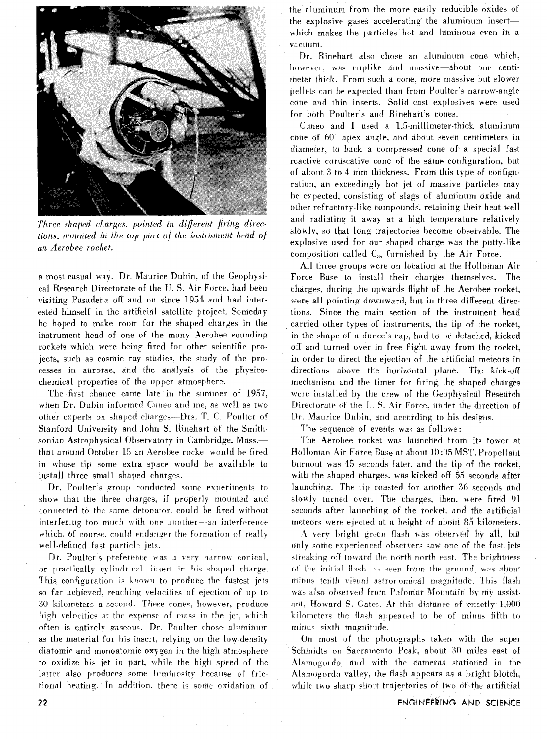

*Three shaped charges, pointed in different firing dirertions, mounted in the top part of the instrument head of an Aerobee rocket.* 

a most casual way. Dr. Maurice Dubin, of the Geophysical Research Directorate of the U.S. Air Force, had been visiting Pasadena off and on since 1951 arid had interested himself in the artificial satellite project. Someday he hoped to make room for the shaped charges in the instrument head of one of the manv Aerohee sounding rockets which were being fired for other scientific projects, such as cosmic ray studies, the study of the processes in aurorae, and the analysis of the physicochemical properties of the upper atmosphere.

The first chance came late in the summer of 1957, when Dr. Dubin informed Cuneo and me, as well as two other experts on shaped charges-Drs. T. C. Poulter of Stanford University and John S. Rinehart of the Smithsonian Astrophysical Observatory in Cambridge, Mass.that around October 15 an Aerobee rocket would be fired in whose tip some extra space would be available to install three small shaped charges.

Dr. Poulter's group conducted some experiments to show that the three charges, if properly mounted and connected to the same detonator. could be fired without interfering too much with one another—an interference which. of course, could endanger the formation of really well-defined fast particle jets.

Dr. Poulter's preference was a very narrow conical, or practically cylindrical. insert in his shaped charge. This configuration is known to produce the fastest jets so far achieved, reaching velocities of ejection of up to 30 kilometers a second. These cones. however. produce high velocities at the expense of mass in the jet, which often is entirely gaseous. Dr. Poulter chose aluminum as the material for his insert, relying on the low-density diatomic and monoatomic oxygen in the high atmosphere to oxidize his jet in part, while the high speed of the latter also produces some luminosity because of frictional heating. In addition, there is some oxidation of

Dr. Rinehart also chose an aluminum cone which. however, was cuplike and massive-about one centimeter thick. From such a cone. more massive but slower pellets can be expected than from Poulter's narrow-angle cone and thin inserts. Solid cast explosives were used for both Poulter's and Rinehart's cones.

Cuneo and I used a 1.5-millimeter-thick aluminum cone of  $60^\circ$  apex angle, and about seven centimeters in diameter, to back a compressed cone of a special fast reactive coruscative cone of the same configuration, but of about 3 to 4 rnm thickness. From this type of configuration. an exceedingly hot jet of massive particles may be expected, consisting of slags of aluminum oxide and other refractory-like compounds, retaining their heat well and radiating it away at a high temperature relatively slowly, so that long trajectories become observable. The explosive used for our shaped charge was the putty-like composition called  $C_s$ , furnished by the Air Force.

All three groups were on location at the Holloman Air Force Base to install their charges themselves. The charges, during the upwards flight of the Aerobee rocket, were all pointing downward, but in three different directions. Since the main section of the instrument head carried other types of instruments, the tip of the rocket, in the shape of a dunce's cap, had to be detached, kicked off and turned over in free flight away from the rocket, in order to direct the ejection of the artificial meteors in directions above the horizontal plane. The kick-off mechanism and the timer for firing the shaped charges were installed by the crew of the Geophysical Research Directorate of the U.S. Air Force, under the direction of Dr. Maurice Dubin, and according to his designs.

The sequence of events was as follows:

The Aerobee rocket was launched from its tower at Holloman Air Force Base at about 10:05 MST. Propellant burnout was 45 seconds later, and the tip of the rocket, with the shaped charges. was kicked off 55 seconds after launching. The tip coasted for another 36 seconds and slowly turned over. The charges, then. were fired 91 seconds after launching of the rocket, and the artificial meteors were ejected at a height of about 85 kilometers.

A verv bright green flash was observed by all. but only some experienced observers saw one of the fast jets streaking off toward the north north east. The brightness of the initial flash, as seen from the ground, was about minus tenth visual astronomical magnitude. This flash was also observed from Palomar Mountain by my assistant, Howard S. Gates. At this distance of exactly 1.000 kilometers the flash appeared to be of minus fifth to minus sixth magnitude.

On most of the photographs taken with the super Schmidts on Sacramento Peak, about 30 miles east of Alarnogordo. and with the cameras stationed in the Alamogordo valley, the flash appears as a bright blotch. while two sharp short trajectories of two of the artificial